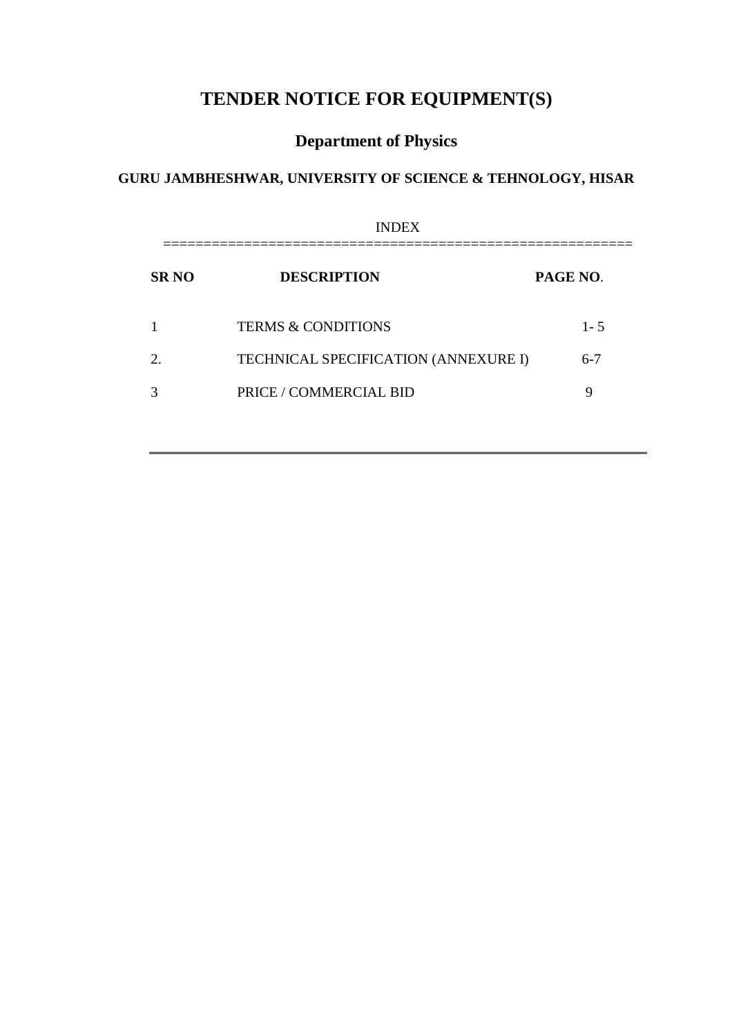# **TENDER NOTICE FOR EQUIPMENT(S)**

# **Department of Physics**

# **GURU JAMBHESHWAR, UNIVERSITY OF SCIENCE & TEHNOLOGY, HISAR**

| <b>INDEX</b>          |                                      |          |  |
|-----------------------|--------------------------------------|----------|--|
| <b>SRNO</b>           | <b>DESCRIPTION</b>                   | PAGE NO. |  |
|                       | <b>TERMS &amp; CONDITIONS</b>        | $1 - 5$  |  |
| $\mathcal{D}_{\cdot}$ | TECHNICAL SPECIFICATION (ANNEXURE I) | $6-7$    |  |
|                       | PRICE / COMMERCIAL BID               | 9        |  |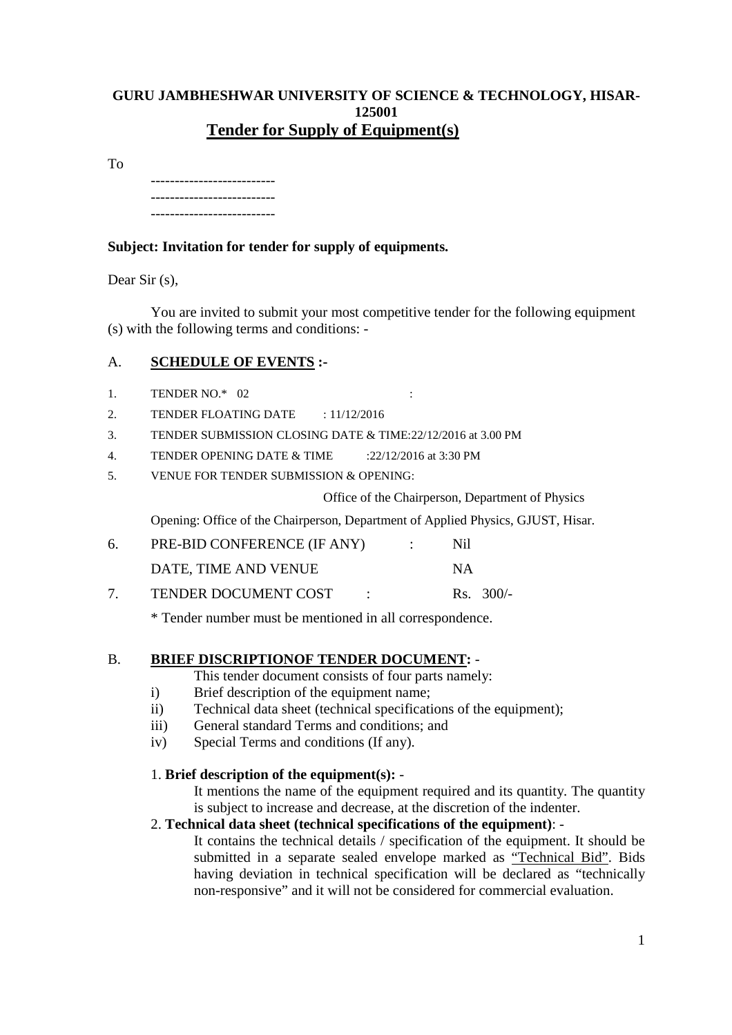# **GURU JAMBHESHWAR UNIVERSITY OF SCIENCE & TECHNOLOGY, HISAR-125001 Tender for Supply of Equipment(s)**

To

-------------------------- -------------------------- --------------------------

# **Subject: Invitation for tender for supply of equipments.**

Dear Sir (s),

You are invited to submit your most competitive tender for the following equipment (s) with the following terms and conditions: -

# A. **SCHEDULE OF EVENTS :-**

- 1. TENDER NO.\* 02 :
- 2. TENDER FLOATING DATE : 11/12/2016
- 3. TENDER SUBMISSION CLOSING DATE & TIME:22/12/2016 at 3.00 PM
- 4. TENDER OPENING DATE & TIME :22/12/2016 at 3:30 PM
- 5. VENUE FOR TENDER SUBMISSION & OPENING:

Office of the Chairperson, Department of Physics

Opening: Office of the Chairperson, Department of Applied Physics, GJUST, Hisar.

| 6. | PRE-BID CONFERENCE (IF ANY) | Nil         |
|----|-----------------------------|-------------|
|    | DATE, TIME AND VENUE        | <b>NA</b>   |
|    | <b>TENDER DOCUMENT COST</b> | Rs. $300/-$ |

\* Tender number must be mentioned in all correspondence.

## B. **BRIEF DISCRIPTIONOF TENDER DOCUMENT:** -

This tender document consists of four parts namely:

- i) Brief description of the equipment name;
- ii) Technical data sheet (technical specifications of the equipment);
- iii) General standard Terms and conditions; and
- iv) Special Terms and conditions (If any).

# 1. **Brief description of the equipment(s):** -

It mentions the name of the equipment required and its quantity. The quantity is subject to increase and decrease, at the discretion of the indenter.

## 2. **Technical data sheet (technical specifications of the equipment)**: -

It contains the technical details / specification of the equipment. It should be submitted in a separate sealed envelope marked as "Technical Bid". Bids having deviation in technical specification will be declared as "technically non-responsive" and it will not be considered for commercial evaluation.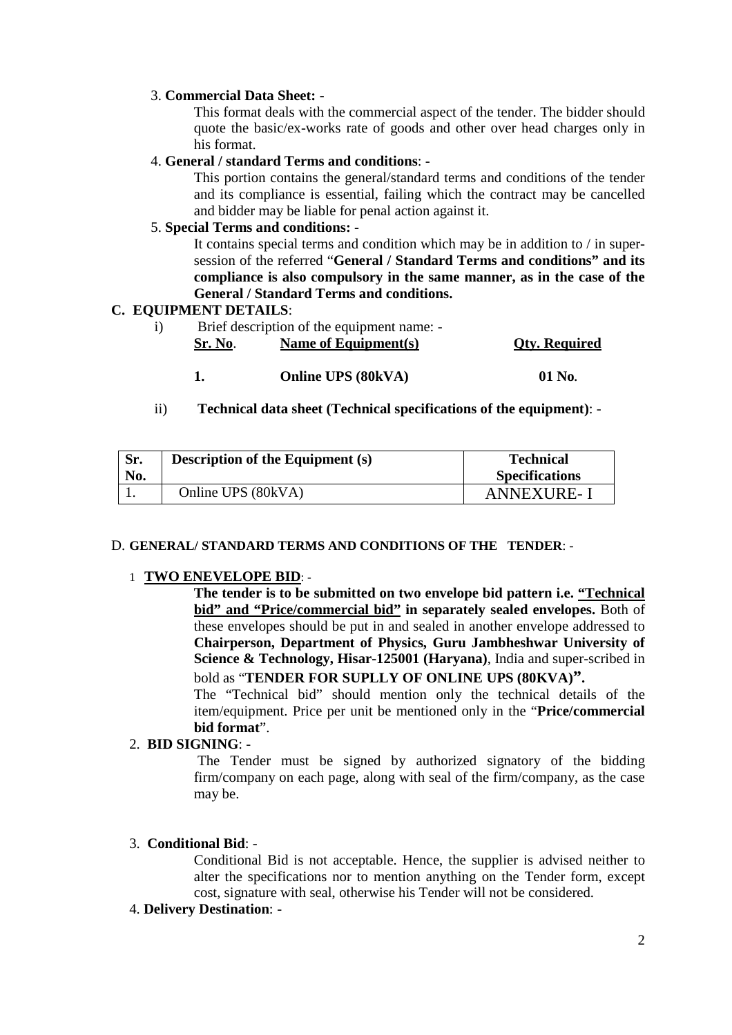### 3. **Commercial Data Sheet: -**

This format deals with the commercial aspect of the tender. The bidder should quote the basic/ex-works rate of goods and other over head charges only in his format.

### 4. **General / standard Terms and conditions**: -

This portion contains the general/standard terms and conditions of the tender and its compliance is essential, failing which the contract may be cancelled and bidder may be liable for penal action against it.

# 5. **Special Terms and conditions: -**

It contains special terms and condition which may be in addition to / in supersession of the referred "**General / Standard Terms and conditions" and its compliance is also compulsory in the same manner, as in the case of the General / Standard Terms and conditions.**

### **C. EQUIPMENT DETAILS**:

- i) Brief description of the equipment name: **Sr. No**. **Name of Equipment(s) Qty. Required**
	- **1. Online UPS (80kVA) 01 No.**
- ii) **Technical data sheet (Technical specifications of the equipment)**: -

| Sr.<br>No. | <b>Description of the Equipment (s)</b> | <b>Technical</b><br><b>Specifications</b> |
|------------|-----------------------------------------|-------------------------------------------|
|            | Online UPS (80kVA)                      | <b>ANNEXURE-I</b>                         |

### D. **GENERAL/ STANDARD TERMS AND CONDITIONS OF THE TENDER**: -

### 1 **TWO ENEVELOPE BID**: -

 **The tender is to be submitted on two envelope bid pattern i.e. "Technical bid" and "Price/commercial bid" in separately sealed envelopes.** Both of these envelopes should be put in and sealed in another envelope addressed to **Chairperson, Department of Physics, Guru Jambheshwar University of Science & Technology, Hisar-125001 (Haryana)**, India and super-scribed in bold as "**TENDER FOR SUPLLY OF ONLINE UPS (80KVA)".**

The "Technical bid" should mention only the technical details of the item/equipment. Price per unit be mentioned only in the "**Price/commercial bid format**".

## 2. **BID SIGNING**: -

The Tender must be signed by authorized signatory of the bidding firm/company on each page, along with seal of the firm/company, as the case may be.

### 3. **Conditional Bid**: -

Conditional Bid is not acceptable. Hence, the supplier is advised neither to alter the specifications nor to mention anything on the Tender form, except cost, signature with seal, otherwise his Tender will not be considered.

### 4. **Delivery Destination**: -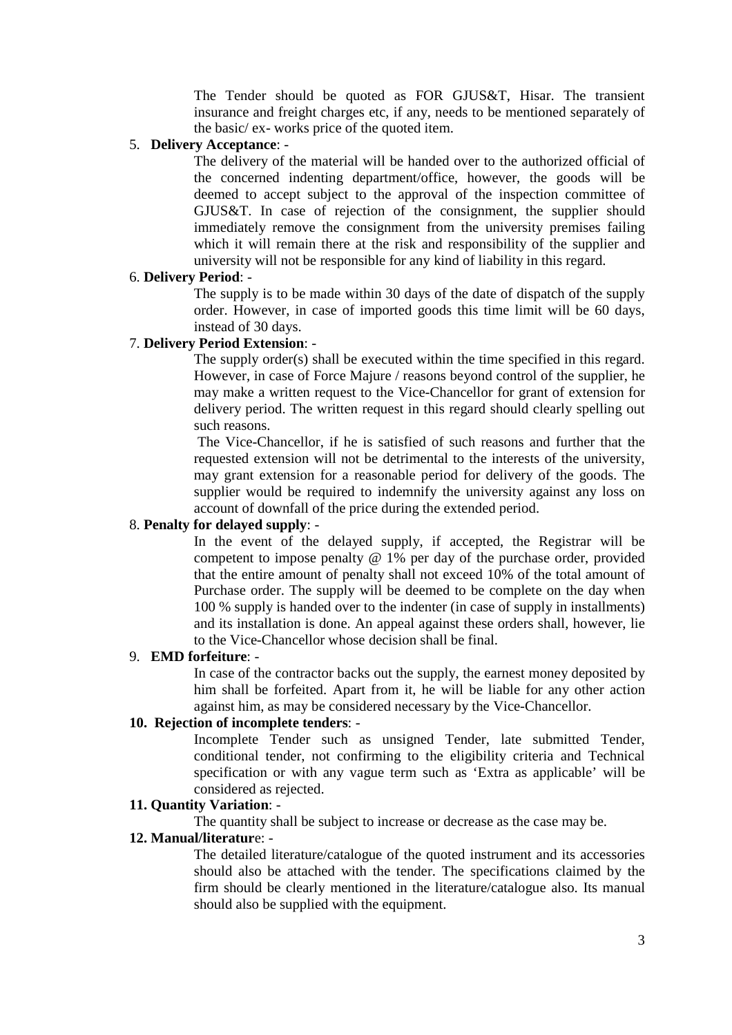The Tender should be quoted as FOR GJUS&T, Hisar. The transient insurance and freight charges etc, if any, needs to be mentioned separately of the basic/ ex- works price of the quoted item.

### 5. **Delivery Acceptance**: -

The delivery of the material will be handed over to the authorized official of the concerned indenting department/office, however, the goods will be deemed to accept subject to the approval of the inspection committee of GJUS&T. In case of rejection of the consignment, the supplier should immediately remove the consignment from the university premises failing which it will remain there at the risk and responsibility of the supplier and university will not be responsible for any kind of liability in this regard.

### 6. **Delivery Period**: -

The supply is to be made within 30 days of the date of dispatch of the supply order. However, in case of imported goods this time limit will be 60 days, instead of 30 days.

## 7. **Delivery Period Extension**: -

The supply order(s) shall be executed within the time specified in this regard. However, in case of Force Majure / reasons beyond control of the supplier, he may make a written request to the Vice-Chancellor for grant of extension for delivery period. The written request in this regard should clearly spelling out such reasons.

The Vice-Chancellor, if he is satisfied of such reasons and further that the requested extension will not be detrimental to the interests of the university, may grant extension for a reasonable period for delivery of the goods. The supplier would be required to indemnify the university against any loss on account of downfall of the price during the extended period.

### 8. **Penalty for delayed supply**: -

In the event of the delayed supply, if accepted, the Registrar will be competent to impose penalty @ 1% per day of the purchase order, provided that the entire amount of penalty shall not exceed 10% of the total amount of Purchase order. The supply will be deemed to be complete on the day when 100 % supply is handed over to the indenter (in case of supply in installments) and its installation is done. An appeal against these orders shall, however, lie to the Vice-Chancellor whose decision shall be final.

### 9. **EMD forfeiture**: -

In case of the contractor backs out the supply, the earnest money deposited by him shall be forfeited. Apart from it, he will be liable for any other action against him, as may be considered necessary by the Vice-Chancellor.

# **10. Rejection of incomplete tenders**: -

Incomplete Tender such as unsigned Tender, late submitted Tender, conditional tender, not confirming to the eligibility criteria and Technical specification or with any vague term such as 'Extra as applicable' will be considered as rejected.

### **11. Quantity Variation**: -

The quantity shall be subject to increase or decrease as the case may be.

# **12. Manual/literatur**e: -

The detailed literature/catalogue of the quoted instrument and its accessories should also be attached with the tender. The specifications claimed by the firm should be clearly mentioned in the literature/catalogue also. Its manual should also be supplied with the equipment.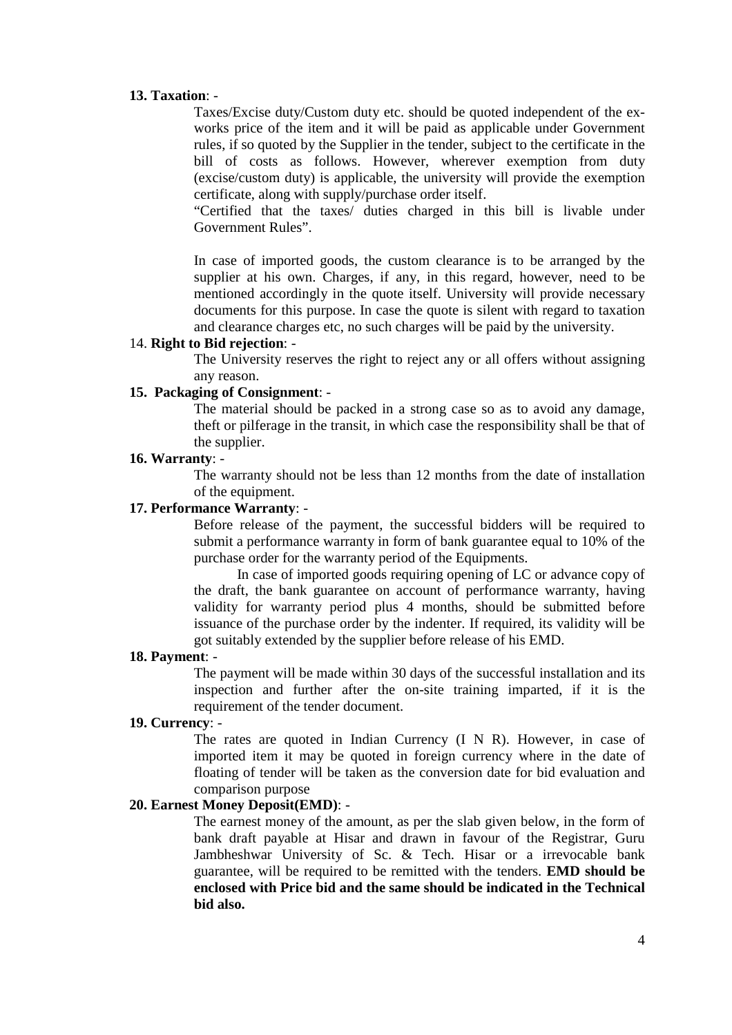### **13. Taxation**: -

Taxes/Excise duty/Custom duty etc. should be quoted independent of the exworks price of the item and it will be paid as applicable under Government rules, if so quoted by the Supplier in the tender, subject to the certificate in the bill of costs as follows. However, wherever exemption from duty (excise/custom duty) is applicable, the university will provide the exemption certificate, along with supply/purchase order itself.

"Certified that the taxes/ duties charged in this bill is livable under Government Rules".

In case of imported goods, the custom clearance is to be arranged by the supplier at his own. Charges, if any, in this regard, however, need to be mentioned accordingly in the quote itself. University will provide necessary documents for this purpose. In case the quote is silent with regard to taxation and clearance charges etc, no such charges will be paid by the university.

### 14. **Right to Bid rejection**: -

The University reserves the right to reject any or all offers without assigning any reason.

### **15. Packaging of Consignment**: -

The material should be packed in a strong case so as to avoid any damage, theft or pilferage in the transit, in which case the responsibility shall be that of the supplier.

### **16. Warranty**: -

The warranty should not be less than 12 months from the date of installation of the equipment.

#### **17. Performance Warranty**: -

Before release of the payment, the successful bidders will be required to submit a performance warranty in form of bank guarantee equal to 10% of the purchase order for the warranty period of the Equipments.

In case of imported goods requiring opening of LC or advance copy of the draft, the bank guarantee on account of performance warranty, having validity for warranty period plus 4 months, should be submitted before issuance of the purchase order by the indenter. If required, its validity will be got suitably extended by the supplier before release of his EMD.

#### **18. Payment**: -

The payment will be made within 30 days of the successful installation and its inspection and further after the on-site training imparted, if it is the requirement of the tender document.

### **19. Currency**: -

The rates are quoted in Indian Currency (I N R). However, in case of imported item it may be quoted in foreign currency where in the date of floating of tender will be taken as the conversion date for bid evaluation and comparison purpose

#### **20. Earnest Money Deposit(EMD)**: -

The earnest money of the amount, as per the slab given below, in the form of bank draft payable at Hisar and drawn in favour of the Registrar, Guru Jambheshwar University of Sc. & Tech. Hisar or a irrevocable bank guarantee, will be required to be remitted with the tenders. **EMD should be enclosed with Price bid and the same should be indicated in the Technical bid also.**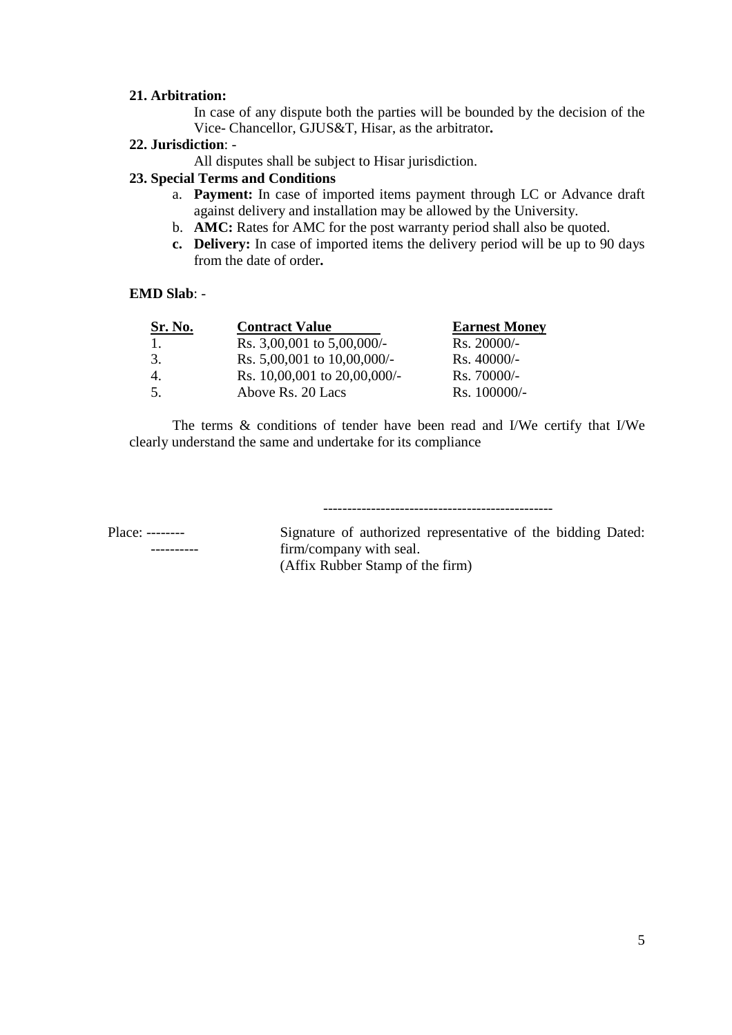### **21. Arbitration:**

In case of any dispute both the parties will be bounded by the decision of the Vice- Chancellor, GJUS&T, Hisar, as the arbitrator**.**

### **22. Jurisdiction**: -

All disputes shall be subject to Hisar jurisdiction.

## **23. Special Terms and Conditions**

- a. **Payment:** In case of imported items payment through LC or Advance draft against delivery and installation may be allowed by the University.
- b. **AMC:** Rates for AMC for the post warranty period shall also be quoted.
- **c. Delivery:** In case of imported items the delivery period will be up to 90 days from the date of order**.**

### **EMD Slab**: -

| Sr. No. | <b>Contract Value</b>            | <b>Earnest Money</b> |
|---------|----------------------------------|----------------------|
| -1.     | Rs. $3,00,001$ to $5,00,000/$ -  | $Rs. 20000/-$        |
| 3.      | Rs. $5,00,001$ to $10,00,000/$ - | $Rs.40000/-$         |
| 4.      | Rs. 10,00,001 to 20,00,000/-     | $Rs.70000/-$         |
| .5.     | Above Rs. 20 Lacs                | $Rs. 100000/-$       |

The terms & conditions of tender have been read and I/We certify that I/We clearly understand the same and undertake for its compliance

------------------------------------------------

Place: -------- Signature of authorized representative of the bidding Dated: ---------- firm/company with seal. (Affix Rubber Stamp of the firm)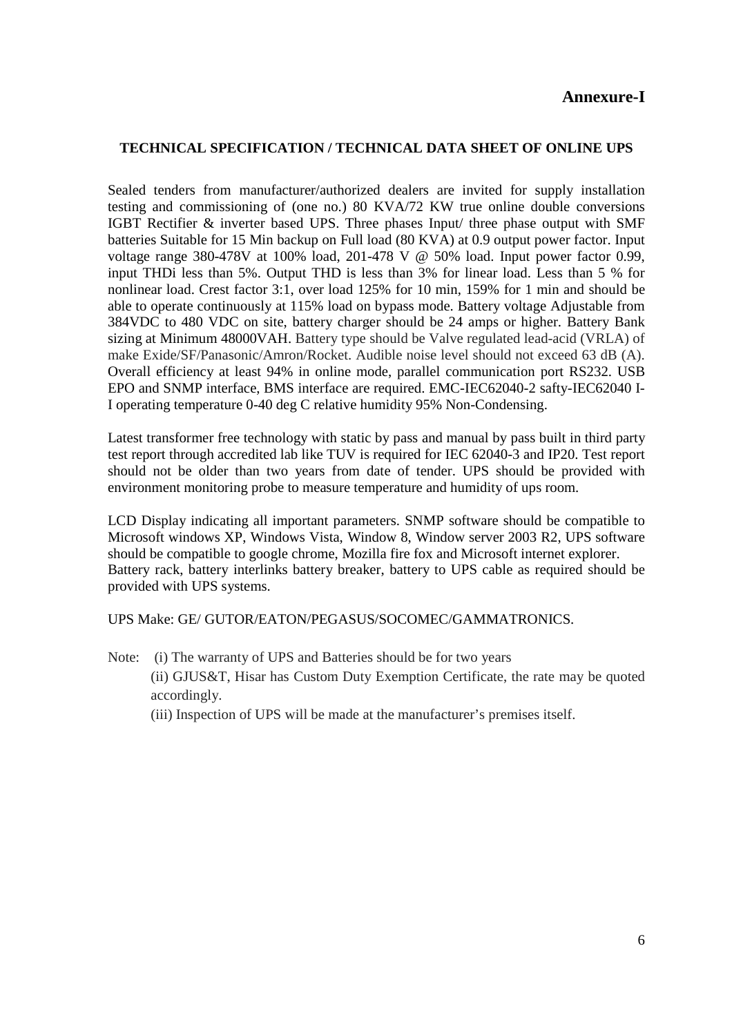# **Annexure-I**

# **TECHNICAL SPECIFICATION / TECHNICAL DATA SHEET OF ONLINE UPS**

Sealed tenders from manufacturer/authorized dealers are invited for supply installation testing and commissioning of (one no.) 80 KVA/72 KW true online double conversions IGBT Rectifier & inverter based UPS. Three phases Input/ three phase output with SMF batteries Suitable for 15 Min backup on Full load (80 KVA) at 0.9 output power factor. Input voltage range 380-478V at 100% load, 201-478 V @ 50% load. Input power factor 0.99, input THDi less than 5%. Output THD is less than 3% for linear load. Less than 5 % for nonlinear load. Crest factor 3:1, over load 125% for 10 min, 159% for 1 min and should be able to operate continuously at 115% load on bypass mode. Battery voltage Adjustable from 384VDC to 480 VDC on site, battery charger should be 24 amps or higher. Battery Bank sizing at Minimum 48000VAH. Battery type should be Valve regulated lead-acid (VRLA) of make Exide/SF/Panasonic/Amron/Rocket. Audible noise level should not exceed 63 dB (A). Overall efficiency at least 94% in online mode, parallel communication port RS232. USB EPO and SNMP interface, BMS interface are required. EMC-IEC62040-2 safty-IEC62040 I-I operating temperature 0-40 deg C relative humidity 95% Non-Condensing.

Latest transformer free technology with static by pass and manual by pass built in third party test report through accredited lab like TUV is required for IEC 62040-3 and IP20. Test report should not be older than two years from date of tender. UPS should be provided with environment monitoring probe to measure temperature and humidity of ups room.

LCD Display indicating all important parameters. SNMP software should be compatible to Microsoft windows XP, Windows Vista, Window 8, Window server 2003 R2, UPS software should be compatible to google chrome, Mozilla fire fox and Microsoft internet explorer. Battery rack, battery interlinks battery breaker, battery to UPS cable as required should be provided with UPS systems.

## UPS Make: GE/ GUTOR/EATON/PEGASUS/SOCOMEC/GAMMATRONICS.

- Note: (i) The warranty of UPS and Batteries should be for two years (ii) GJUS&T, Hisar has Custom Duty Exemption Certificate, the rate may be quoted accordingly.
	- (iii) Inspection of UPS will be made at the manufacturer's premises itself.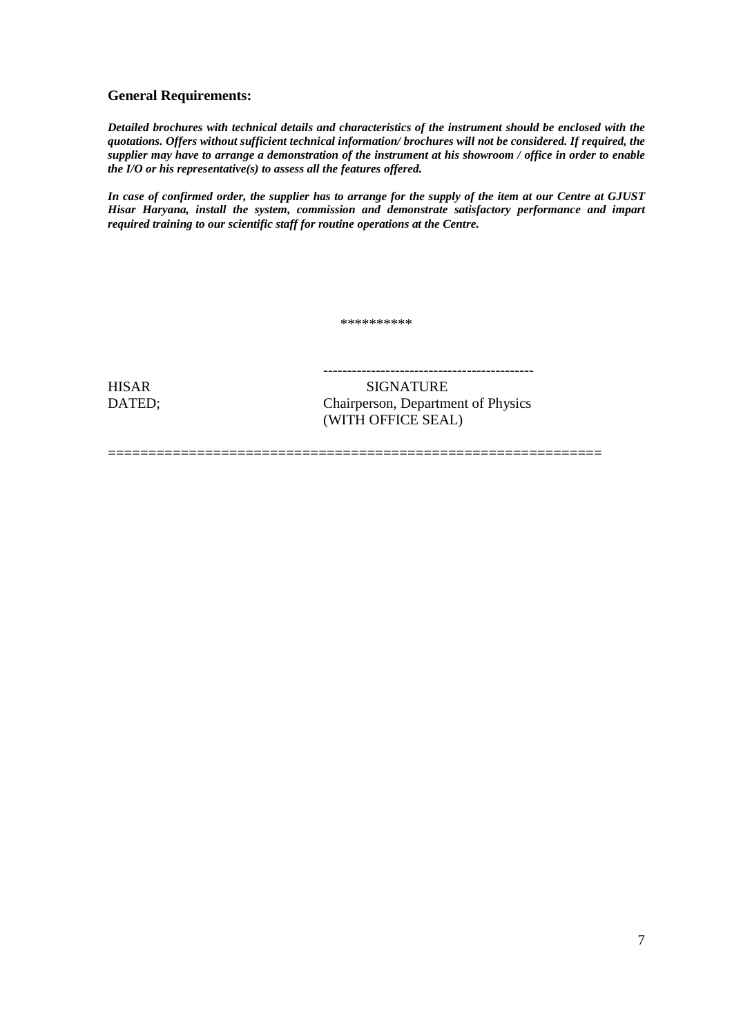### **General Requirements:**

*Detailed brochures with technical details and characteristics of the instrument should be enclosed with the quotations. Offers without sufficient technical information/ brochures will not be considered. If required, the supplier may have to arrange a demonstration of the instrument at his showroom / office in order to enable the I/O or his representative(s) to assess all the features offered.*

*In case of confirmed order, the supplier has to arrange for the supply of the item at our Centre at GJUST Hisar Haryana, install the system, commission and demonstrate satisfactory performance and impart required training to our scientific staff for routine operations at the Centre.*

\*\*\*\*\*\*\*\*\*\*

=============================================================

HISAR SIGNATURE

--------------------------------------------

DATED; Chairperson, Department of Physics (WITH OFFICE SEAL)

7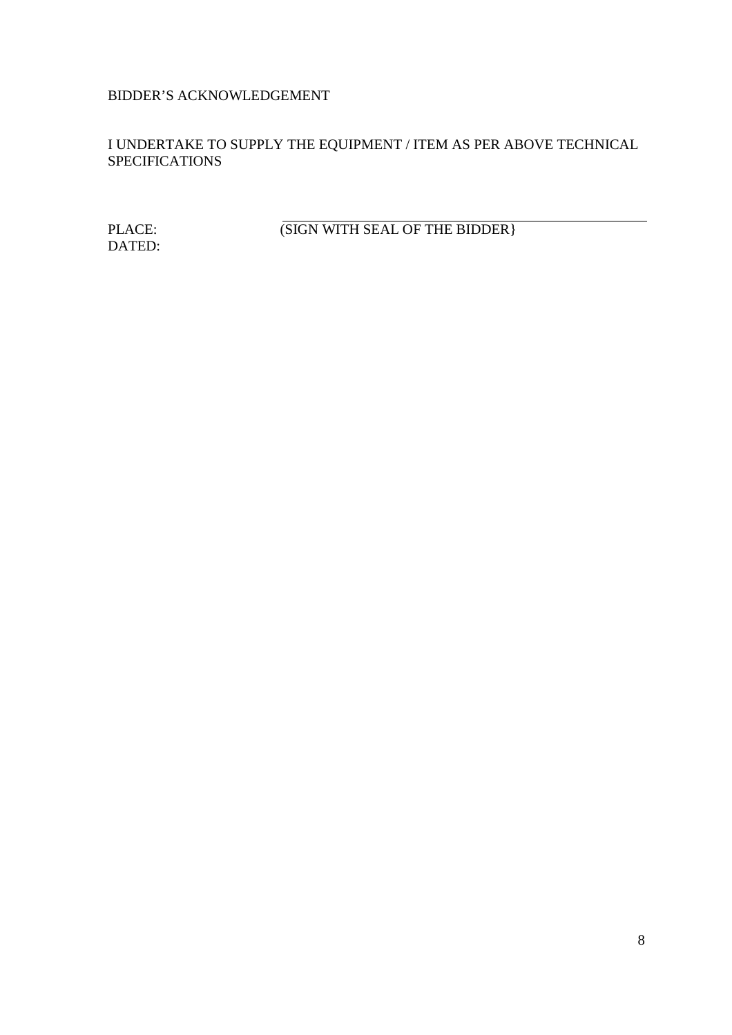# BIDDER'S ACKNOWLEDGEMENT

I UNDERTAKE TO SUPPLY THE EQUIPMENT / ITEM AS PER ABOVE TECHNICAL **SPECIFICATIONS** 

DATED:

PLACE: (SIGN WITH SEAL OF THE BIDDER)